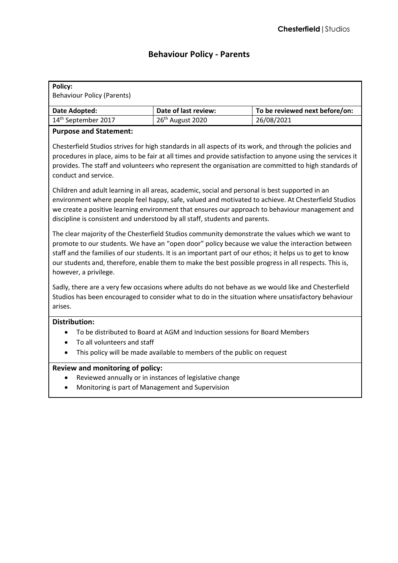# **Behaviour Policy - Parents**

| Policy:                           |                              |                                |
|-----------------------------------|------------------------------|--------------------------------|
| <b>Behaviour Policy (Parents)</b> |                              |                                |
|                                   |                              |                                |
| Date Adopted:                     | Date of last review:         | To be reviewed next before/on: |
| 14 <sup>th</sup> September 2017   | 26 <sup>th</sup> August 2020 | 26/08/2021                     |

# **Purpose and Statement:**

Chesterfield Studios strives for high standards in all aspects of its work, and through the policies and procedures in place, aims to be fair at all times and provide satisfaction to anyone using the services it provides. The staff and volunteers who represent the organisation are committed to high standards of conduct and service.

Children and adult learning in all areas, academic, social and personal is best supported in an environment where people feel happy, safe, valued and motivated to achieve. At Chesterfield Studios we create a positive learning environment that ensures our approach to behaviour management and discipline is consistent and understood by all staff, students and parents.

The clear majority of the Chesterfield Studios community demonstrate the values which we want to promote to our students. We have an "open door" policy because we value the interaction between staff and the families of our students. It is an important part of our ethos; it helps us to get to know our students and, therefore, enable them to make the best possible progress in all respects. This is, however, a privilege.

Sadly, there are a very few occasions where adults do not behave as we would like and Chesterfield Studios has been encouraged to consider what to do in the situation where unsatisfactory behaviour arises.

## **Distribution:**

- To be distributed to Board at AGM and Induction sessions for Board Members
- To all volunteers and staff
- This policy will be made available to members of the public on request

## **Review and monitoring of policy:**

- Reviewed annually or in instances of legislative change
- Monitoring is part of Management and Supervision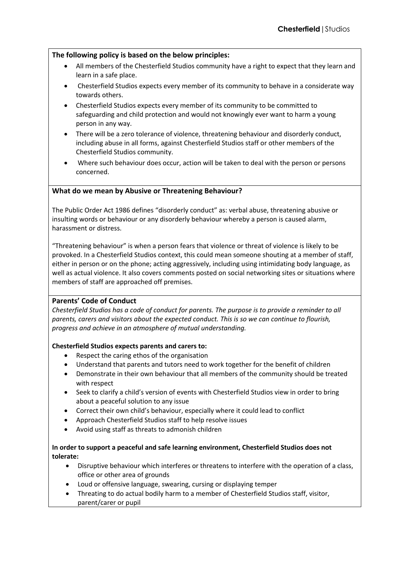# **The following policy is based on the below principles:**

- All members of the Chesterfield Studios community have a right to expect that they learn and learn in a safe place.
- Chesterfield Studios expects every member of its community to behave in a considerate way towards others.
- Chesterfield Studios expects every member of its community to be committed to safeguarding and child protection and would not knowingly ever want to harm a young person in any way.
- There will be a zero tolerance of violence, threatening behaviour and disorderly conduct, including abuse in all forms, against Chesterfield Studios staff or other members of the Chesterfield Studios community.
- Where such behaviour does occur, action will be taken to deal with the person or persons concerned.

## **What do we mean by Abusive or Threatening Behaviour?**

The Public Order Act 1986 defines "disorderly conduct" as: verbal abuse, threatening abusive or insulting words or behaviour or any disorderly behaviour whereby a person is caused alarm, harassment or distress.

"Threatening behaviour" is when a person fears that violence or threat of violence is likely to be provoked. In a Chesterfield Studios context, this could mean someone shouting at a member of staff, either in person or on the phone; acting aggressively, including using intimidating body language, as well as actual violence. It also covers comments posted on social networking sites or situations where members of staff are approached off premises.

## **Parents' Code of Conduct**

*Chesterfield Studios has a code of conduct for parents. The purpose is to provide a reminder to all parents, carers and visitors about the expected conduct. This is so we can continue to flourish, progress and achieve in an atmosphere of mutual understanding.*

## **Chesterfield Studios expects parents and carers to:**

- Respect the caring ethos of the organisation
- Understand that parents and tutors need to work together for the benefit of children
- Demonstrate in their own behaviour that all members of the community should be treated with respect
- Seek to clarify a child's version of events with Chesterfield Studios view in order to bring about a peaceful solution to any issue
- Correct their own child's behaviour, especially where it could lead to conflict
- Approach Chesterfield Studios staff to help resolve issues
- Avoid using staff as threats to admonish children

## **In order to support a peaceful and safe learning environment, Chesterfield Studios does not tolerate:**

- Disruptive behaviour which interferes or threatens to interfere with the operation of a class, office or other area of grounds
- Loud or offensive language, swearing, cursing or displaying temper
- Threating to do actual bodily harm to a member of Chesterfield Studios staff, visitor, parent/carer or pupil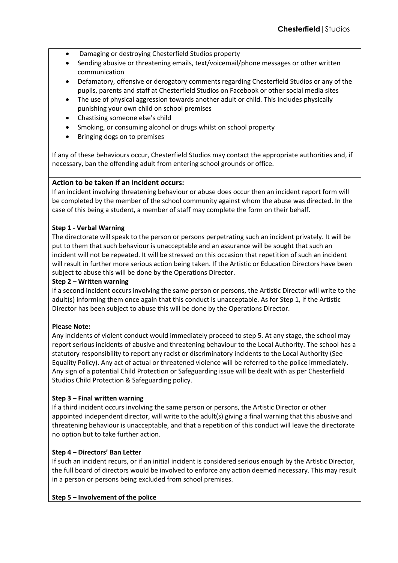- Damaging or destroying Chesterfield Studios property
- Sending abusive or threatening emails, text/voicemail/phone messages or other written communication
- Defamatory, offensive or derogatory comments regarding Chesterfield Studios or any of the pupils, parents and staff at Chesterfield Studios on Facebook or other social media sites
- The use of physical aggression towards another adult or child. This includes physically punishing your own child on school premises
- Chastising someone else's child
- Smoking, or consuming alcohol or drugs whilst on school property
- Bringing dogs on to premises

If any of these behaviours occur, Chesterfield Studios may contact the appropriate authorities and, if necessary, ban the offending adult from entering school grounds or office.

## **Action to be taken if an incident occurs:**

If an incident involving threatening behaviour or abuse does occur then an incident report form will be completed by the member of the school community against whom the abuse was directed. In the case of this being a student, a member of staff may complete the form on their behalf.

#### **Step 1 - Verbal Warning**

The directorate will speak to the person or persons perpetrating such an incident privately. It will be put to them that such behaviour is unacceptable and an assurance will be sought that such an incident will not be repeated. It will be stressed on this occasion that repetition of such an incident will result in further more serious action being taken. If the Artistic or Education Directors have been subject to abuse this will be done by the Operations Director.

#### **Step 2 – Written warning**

If a second incident occurs involving the same person or persons, the Artistic Director will write to the adult(s) informing them once again that this conduct is unacceptable. As for Step 1, if the Artistic Director has been subject to abuse this will be done by the Operations Director.

## **Please Note:**

Any incidents of violent conduct would immediately proceed to step 5. At any stage, the school may report serious incidents of abusive and threatening behaviour to the Local Authority. The school has a statutory responsibility to report any racist or discriminatory incidents to the Local Authority (See Equality Policy). Any act of actual or threatened violence will be referred to the police immediately. Any sign of a potential Child Protection or Safeguarding issue will be dealt with as per Chesterfield Studios Child Protection & Safeguarding policy.

## **Step 3 – Final written warning**

If a third incident occurs involving the same person or persons, the Artistic Director or other appointed independent director, will write to the adult(s) giving a final warning that this abusive and threatening behaviour is unacceptable, and that a repetition of this conduct will leave the directorate no option but to take further action.

## **Step 4 – Directors' Ban Letter**

If such an incident recurs, or if an initial incident is considered serious enough by the Artistic Director, the full board of directors would be involved to enforce any action deemed necessary. This may result in a person or persons being excluded from school premises.

#### **Step 5 – Involvement of the police**